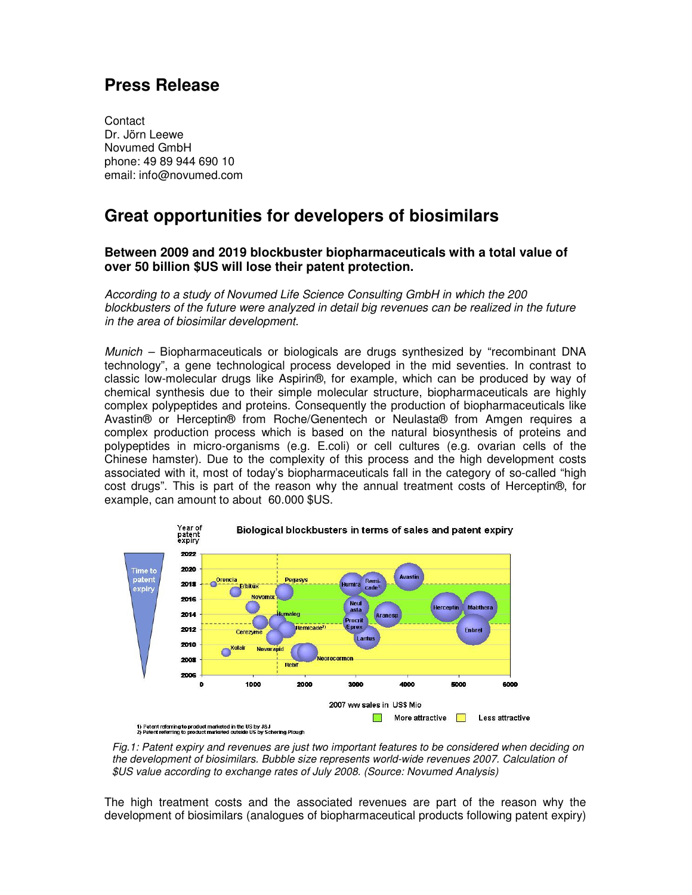## **Press Release**

**Contact** Dr. Jörn Leewe Novumed GmbH phone: 49 89 944 690 10 email: info@novumed.com

## **Great opportunities for developers of biosimilars**

## **Between 2009 and 2019 blockbuster biopharmaceuticals with a total value of over 50 billion \$US will lose their patent protection.**

According to a study of Novumed Life Science Consulting GmbH in which the 200 blockbusters of the future were analyzed in detail big revenues can be realized in the future in the area of biosimilar development.

Munich – Biopharmaceuticals or biologicals are drugs synthesized by "recombinant DNA technology", a gene technological process developed in the mid seventies. In contrast to classic low-molecular drugs like Aspirin®, for example, which can be produced by way of chemical synthesis due to their simple molecular structure, biopharmaceuticals are highly complex polypeptides and proteins. Consequently the production of biopharmaceuticals like Avastin® or Herceptin® from Roche/Genentech or Neulasta® from Amgen requires a complex production process which is based on the natural biosynthesis of proteins and polypeptides in micro-organisms (e.g. E.coli) or cell cultures (e.g. ovarian cells of the Chinese hamster). Due to the complexity of this process and the high development costs associated with it, most of today's biopharmaceuticals fall in the category of so-called "high cost drugs". This is part of the reason why the annual treatment costs of Herceptin®, for example, can amount to about 60.000 \$US.





The high treatment costs and the associated revenues are part of the reason why the development of biosimilars (analogues of biopharmaceutical products following patent expiry)